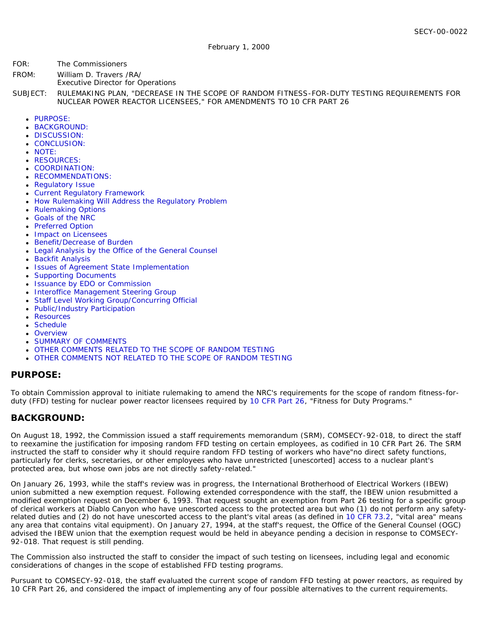- FOR: The Commissioners
- FROM: William D. Travers /RA/
	- Executive Director for Operations

SUBJECT: RULEMAKING PLAN, "DECREASE IN THE SCOPE OF RANDOM FITNESS-FOR-DUTY TESTING REQUIREMENTS FOR NUCLEAR POWER REACTOR LICENSEES," FOR AMENDMENTS TO 10 CFR PART 26

- · [PURPOSE:](#page-0-0)
- [BACKGROUND:](#page-0-1)
- **[DISCUSSION:](#page-1-0)**
- [CONCLUSION:](#page-1-1)
- [NOTE:](#page-1-2)
- [RESOURCES:](#page-1-3)
- [COORDINATION:](#page-2-0)
- [RECOMMENDATIONS:](#page-2-1)
- [Regulatory Issue](#page-2-2)
- [Current Regulatory Framework](#page-3-0)
- [How Rulemaking Will Address the Regulatory Problem](#page-3-1)
- [Rulemaking Options](#page-4-0)
- [Goals of the NRC](#page-5-0)
- [Preferred Option](#page-5-1)
- [Impact on Licensees](#page-5-2)
- [Benefit/Decrease of Burden](#page-5-3)
- [Legal Analysis by the Office of the General Counsel](#page-5-4)
- **[Backfit Analysis](#page-6-0)**
- [Issues of Agreement State Implementation](#page-6-1)
- [Supporting Documents](#page-6-2)
- [Issuance by EDO or Commission](#page-7-0)
- [Interoffice Management Steering Group](#page-7-1)
- [Staff Level Working Group/Concurring Official](#page-7-2)
- [Public/Industry Participation](#page-7-3)
- [Resources](#page-7-4)
- [Schedule](#page-7-5)
- [Overview](#page-8-0)
- [SUMMARY OF COMMENTS](#page-9-0)
- *[OTHER COMMENTS RELATED TO THE SCOPE OF RANDOM TESTING](#page-12-0)*
- *[OTHER COMMENTS NOT RELATED TO THE SCOPE OF RANDOM TESTING](#page-13-0)*

#### <span id="page-0-0"></span>**PURPOSE:**

To obtain Commission approval to initiate rulemaking to amend the NRC's requirements for the scope of random fitness-forduty (FFD) testing for nuclear power reactor licensees required by [10 CFR Part 26,](http://www.nrc.gov/reading-rm/doc-collections/cfr/part026/) "Fitness for Duty Programs."

## <span id="page-0-1"></span>**BACKGROUND:**

On August 18, 1992, the Commission issued a staff requirements memorandum (SRM), COMSECY-92-018, to direct the staff to reexamine the justification for imposing random FFD testing on certain employees, as codified in 10 CFR Part 26. The SRM instructed the staff to consider why it should require random FFD testing of workers who have"no direct safety functions, particularly for clerks, secretaries, or other employees who have unrestricted [unescorted] access to a nuclear plant's protected area, but whose own jobs are not directly safety-related."

On January 26, 1993, while the staff's review was in progress, the International Brotherhood of Electrical Workers (IBEW) union submitted a new exemption request. Following extended correspondence with the staff, the IBEW union resubmitted a modified exemption request on December 6, 1993. That request sought an exemption from Part 26 testing for a specific group of clerical workers at Diablo Canyon who have unescorted access to the protected area but who (1) do not perform any safetyrelated duties and (2) do not have unescorted access to the plant's vital areas (as defined in [10 CFR 73.2,](http://www.nrc.gov/reading-rm/doc-collections/cfr/part073/part073-0002.html) "vital area" means any area that contains vital equipment). On January 27, 1994, at the staff's request, the Office of the General Counsel (OGC) advised the IBEW union that the exemption request would be held in abeyance pending a decision in response to COMSECY-92-018. That request is still pending.

The Commission also instructed the staff to consider the impact of such testing on licensees, including legal and economic considerations of changes in the scope of established FFD testing programs.

Pursuant to COMSECY-92-018, the staff evaluated the current scope of random FFD testing at power reactors, as required by 10 CFR Part 26, and considered the impact of implementing any of four possible alternatives to the current requirements.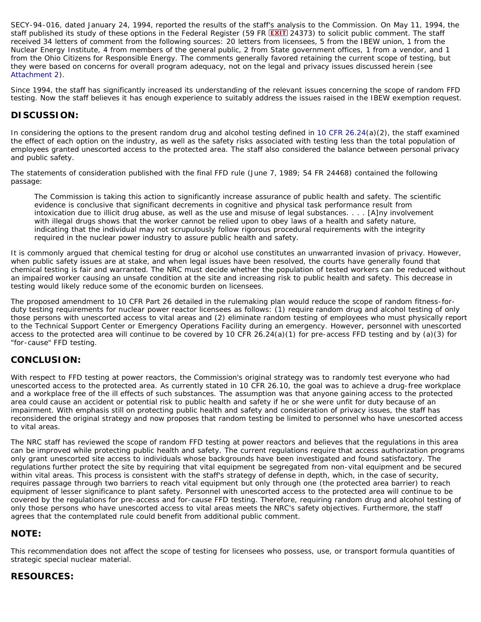SECY-94-016, dated January 24, 1994, reported the results of the staff's analysis to the Commission. On May 11, 1994, the staff published its study of these options in the *Federal Register* (59 FR 24373) to solicit public comment. The staff received 34 letters of comment from the following sources: 20 letters from licensees, 5 from the IBEW union, 1 from the Nuclear Energy Institute, 4 from members of the general public, 2 from State government offices, 1 from a vendor, and 1 from the Ohio Citizens for Responsible Energy. The comments generally favored retaining the current scope of testing, but they were based on concerns for overall program adequacy, not on the legal and privacy issues discussed herein (see [Attachment 2\)](#page-7-6).

Since 1994, the staff has significantly increased its understanding of the relevant issues concerning the scope of random FFD testing. Now the staff believes it has enough experience to suitably address the issues raised in the IBEW exemption request.

## <span id="page-1-0"></span>**DISCUSSION:**

In considering the options to the present random drug and alcohol testing defined in 10 CFR  $26.24(a)(2)$ , the staff examined the effect of each option on the industry, as well as the safety risks associated with testing less than the total population of employees granted unescorted access to the protected area. The staff also considered the balance between personal privacy and public safety.

The statements of consideration published with the final FFD rule (June 7, 1989; 54 FR 24468) contained the following passage:

The Commission is taking this action to significantly increase assurance of public health and safety. The scientific evidence is conclusive that significant decrements in cognitive and physical task performance result from intoxication due to illicit drug abuse, as well as the use and misuse of legal substances. . . . [A]ny involvement with illegal drugs shows that the worker cannot be relied upon to obey laws of a health and safety nature, indicating that the individual may not scrupulously follow rigorous procedural requirements with the integrity required in the nuclear power industry to assure public health and safety.

It is commonly argued that chemical testing for drug or alcohol use constitutes an unwarranted invasion of privacy. However, when public safety issues are at stake, and when legal issues have been resolved, the courts have generally found that chemical testing is fair and warranted. The NRC must decide whether the population of tested workers can be reduced without an impaired worker causing an unsafe condition at the site and increasing risk to public health and safety. This decrease in testing would likely reduce some of the economic burden on licensees.

The proposed amendment to 10 CFR Part 26 detailed in the rulemaking plan would reduce the scope of random fitness-forduty testing requirements for nuclear power reactor licensees as follows: (1) require random drug and alcohol testing of only those persons with unescorted access to vital areas and (2) eliminate random testing of employees who must physically report to the Technical Support Center or Emergency Operations Facility during an emergency. However, personnel with unescorted access to the protected area will continue to be covered by 10 CFR 26.24(a)(1) for pre-access FFD testing and by (a)(3) for "for-cause" FFD testing.

## <span id="page-1-1"></span>**CONCLUSION:**

With respect to FFD testing at power reactors, the Commission's original strategy was to randomly test everyone who had unescorted access to the protected area. As currently stated in 10 CFR 26.10, the goal was to achieve a drug-free workplace and a workplace free of the ill effects of such substances. The assumption was that anyone gaining access to the protected area could cause an accident or potential risk to public health and safety if he or she were unfit for duty because of an impairment. With emphasis still on protecting public health and safety and consideration of privacy issues, the staff has reconsidered the original strategy and now proposes that random testing be limited to personnel who have unescorted access to vital areas.

The NRC staff has reviewed the scope of random FFD testing at power reactors and believes that the regulations in this area can be improved while protecting public health and safety. The current regulations require that access authorization programs only grant unescorted site access to individuals whose backgrounds have been investigated and found satisfactory. The regulations further protect the site by requiring that vital equipment be segregated from non-vital equipment and be secured within vital areas. This process is consistent with the staff's strategy of defense in depth, which, in the case of security, requires passage through two barriers to reach vital equipment but only through one (the protected area barrier) to reach equipment of lesser significance to plant safety. Personnel with unescorted access to the protected area will continue to be covered by the regulations for pre-access and for-cause FFD testing. Therefore, requiring random drug and alcohol testing of only those persons who have unescorted access to vital areas meets the NRC's safety objectives. Furthermore, the staff agrees that the contemplated rule could benefit from additional public comment.

#### <span id="page-1-2"></span>**NOTE:**

This recommendation does not affect the scope of testing for licensees who possess, use, or transport formula quantities of strategic special nuclear material.

## <span id="page-1-3"></span>**RESOURCES:**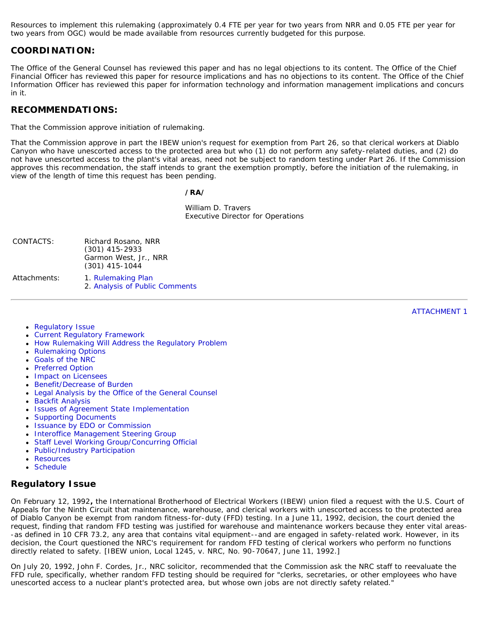Resources to implement this rulemaking (approximately 0.4 FTE per year for two years from NRR and 0.05 FTE per year for two years from OGC) would be made available from resources currently budgeted for this purpose.

#### <span id="page-2-0"></span>**COORDINATION:**

The Office of the General Counsel has reviewed this paper and has no legal objections to its content. The Office of the Chief Financial Officer has reviewed this paper for resource implications and has no objections to its content. The Office of the Chief Information Officer has reviewed this paper for information technology and information management implications and concurs in it.

#### <span id="page-2-1"></span>**RECOMMENDATIONS:**

That the Commission approve initiation of rulemaking.

That the Commission approve in part the IBEW union's request for exemption from Part 26, so that clerical workers at Diablo Canyon who have unescorted access to the protected area but who (1) do not perform any safety-related duties, and (2) do not have unescorted access to the plant's vital areas, need not be subject to random testing under Part 26. If the Commission approves this recommendation, the staff intends to grant the exemption promptly, before the initiation of the rulemaking, in view of the length of time this request has been pending.

#### */RA/*

William D. Travers Executive Director for Operations

| CONTACTS:    | Richard Rosano, NRR<br>$(301)$ 415-2933<br>Garmon West, Jr., NRR<br>$(301)$ 415-1044 |  |
|--------------|--------------------------------------------------------------------------------------|--|
| Attachments: | 1. Rulemaking Plan<br>2. Analysis of Public Comments                                 |  |

ATTACHMENT 1

- <span id="page-2-3"></span>• [Regulatory Issue](#page-2-2)
- $\bullet$ [Current Regulatory Framework](#page-3-0)
- [How Rulemaking Will Address the Regulatory Problem](#page-3-1)
- [Rulemaking Options](#page-4-0)
- [Goals of the NRC](#page-5-0)
- [Preferred Option](#page-5-1)
- [Impact on Licensees](#page-5-2)
- [Benefit/Decrease of Burden](#page-5-3)
- [Legal Analysis by the Office of the General Counsel](#page-5-4)
- **[Backfit Analysis](#page-6-0)**
- [Issues of Agreement State Implementation](#page-6-1)
- [Supporting Documents](#page-6-2)
- [Issuance by EDO or Commission](#page-7-0)
- [Interoffice Management Steering Group](#page-7-1)
- [Staff Level Working Group/Concurring Official](#page-7-2)
- [Public/Industry Participation](#page-7-3)
- [Resources](#page-7-4)
- [Schedule](#page-7-5)

## <span id="page-2-2"></span>**Regulatory Issue**

On February 12, 1992**,** the International Brotherhood of Electrical Workers (IBEW) union filed a request with the U.S. Court of Appeals for the Ninth Circuit that maintenance, warehouse, and clerical workers with unescorted access to the protected area of Diablo Canyon be exempt from random fitness-for-duty (FFD) testing. In a June 11, 1992, decision, the court denied the request, finding that random FFD testing was justified for warehouse and maintenance workers because they enter vital areas- -as defined in 10 CFR 73.2, any area that contains vital equipment--and are engaged in safety-related work. However, in its decision, the Court questioned the NRC's requirement for random FFD testing of clerical workers who perform no functions directly related to safety. [IBEW union, Local 1245, v. NRC, No. 90-70647, June 11, 1992.]

On July 20, 1992, John F. Cordes, Jr., NRC solicitor, recommended that the Commission ask the NRC staff to reevaluate the FFD rule, specifically, whether random FFD testing should be required for "clerks, secretaries, or other employees who have unescorted access to a nuclear plant's protected area, but whose own jobs are not directly safety related."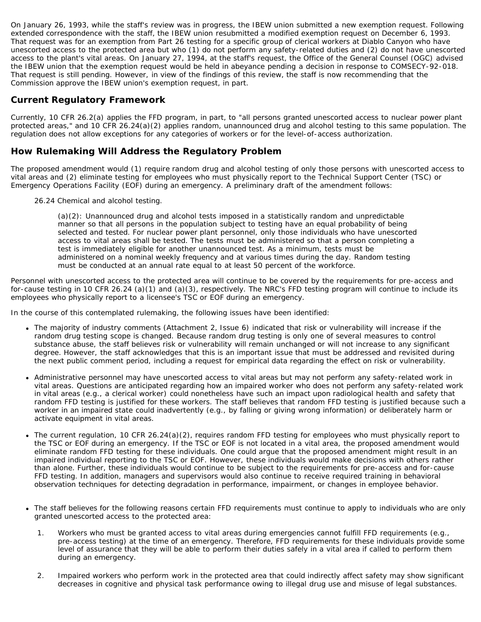On January 26, 1993, while the staff's review was in progress, the IBEW union submitted a new exemption request. Following extended correspondence with the staff, the IBEW union resubmitted a modified exemption request on December 6, 1993. That request was for an exemption from Part 26 testing for a specific group of clerical workers at Diablo Canyon who have unescorted access to the protected area but who (1) do not perform any safety-related duties and (2) do not have unescorted access to the plant's vital areas. On January 27, 1994, at the staff's request, the Office of the General Counsel (OGC) advised the IBEW union that the exemption request would be held in abeyance pending a decision in response to COMSECY-92-018. That request is still pending. However, in view of the findings of this review, the staff is now recommending that the Commission approve the IBEW union's exemption request, in part.

# <span id="page-3-0"></span>**Current Regulatory Framework**

Currently, 10 CFR 26.2(a) applies the FFD program, in part, to "all persons granted unescorted access to nuclear power plant protected areas," and 10 CFR 26.24(a)(2) applies random, unannounced drug and alcohol testing to this same population. The regulation does not allow exceptions for any categories of workers or for the level-of-access authorization.

# <span id="page-3-1"></span>**How Rulemaking Will Address the Regulatory Problem**

The proposed amendment would (1) require random drug and alcohol testing of only those persons with unescorted access to vital areas and (2) eliminate testing for employees who must physically report to the Technical Support Center (TSC) or Emergency Operations Facility (EOF) during an emergency. A preliminary draft of the amendment follows:

26.24 Chemical and alcohol testing.

(a)(2): Unannounced drug and alcohol tests imposed in a statistically random and unpredictable manner so that all persons in the population subject to testing have an equal probability of being selected and tested. For nuclear power plant personnel, only those individuals who have unescorted access to vital areas shall be tested. The tests must be administered so that a person completing a test is immediately eligible for another unannounced test. As a minimum, tests must be administered on a nominal weekly frequency and at various times during the day. Random testing must be conducted at an annual rate equal to at least 50 percent of the workforce.

Personnel with unescorted access to the protected area will continue to be covered by the requirements for pre-access and for-cause testing in 10 CFR 26.24 (a)(1) and (a)(3), respectively. The NRC's FFD testing program will continue to include its employees who physically report to a licensee's TSC or EOF during an emergency.

In the course of this contemplated rulemaking, the following issues have been identified:

- The majority of industry comments (Attachment 2, Issue 6) indicated that risk or vulnerability will increase if the random drug testing scope is changed. Because random drug testing is only one of several measures to control substance abuse, the staff believes risk or vulnerability will remain unchanged or will not increase to any significant degree. However, the staff acknowledges that this is an important issue that must be addressed and revisited during the next public comment period, including a request for empirical data regarding the effect on risk or vulnerability.
- Administrative personnel may have unescorted access to vital areas but may not perform any safety-related work in vital areas. Questions are anticipated regarding how an impaired worker who does not perform any safety-related work in vital areas (e.g., a clerical worker) could nonetheless have such an impact upon radiological health and safety that random FFD testing is justified for these workers. The staff believes that random FFD testing is justified because such a worker in an impaired state could inadvertently (e.g., by falling or giving wrong information) or deliberately harm or activate equipment in vital areas.
- The current regulation, 10 CFR 26.24(a)(2), requires random FFD testing for employees who must physically report to the TSC or EOF during an emergency. If the TSC or EOF is not located in a vital area, the proposed amendment would eliminate random FFD testing for these individuals. One could argue that the proposed amendment might result in an impaired individual reporting to the TSC or EOF. However, these individuals would make decisions with others rather than alone. Further, these individuals would continue to be subject to the requirements for pre-access and for-cause FFD testing. In addition, managers and supervisors would also continue to receive required training in behavioral observation techniques for detecting degradation in performance, impairment, or changes in employee behavior.
- The staff believes for the following reasons certain FFD requirements must continue to apply to individuals who are only granted unescorted access to the protected area:
	- 1. Workers who must be granted access to vital areas during emergencies cannot fulfill FFD requirements (e.g., pre-access testing) at the time of an emergency. Therefore, FFD requirements for these individuals provide some level of assurance that they will be able to perform their duties safely in a vital area if called to perform them during an emergency.
	- 2. Impaired workers who perform work in the protected area that could indirectly affect safety may show significant decreases in cognitive and physical task performance owing to illegal drug use and misuse of legal substances.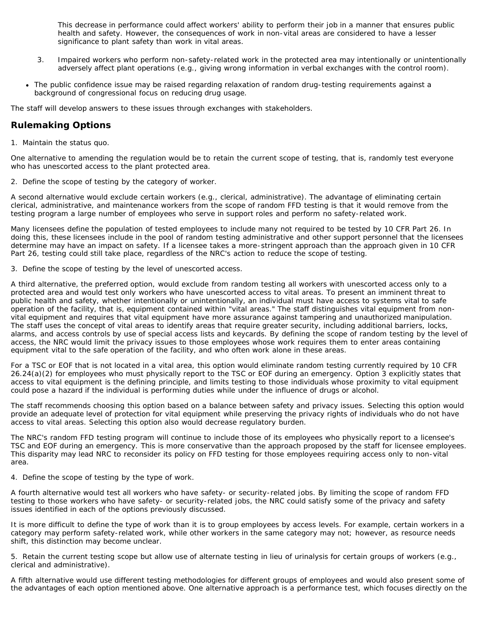This decrease in performance could affect workers' ability to perform their job in a manner that ensures public health and safety. However, the consequences of work in non-vital areas are considered to have a lesser significance to plant safety than work in vital areas.

- 3. Impaired workers who perform non-safety-related work in the protected area may intentionally or unintentionally adversely affect plant operations (e.g., giving wrong information in verbal exchanges with the control room).
- The public confidence issue may be raised regarding relaxation of random drug-testing requirements against a background of congressional focus on reducing drug usage.

The staff will develop answers to these issues through exchanges with stakeholders.

# <span id="page-4-0"></span>**Rulemaking Options**

1. Maintain the status quo.

One alternative to amending the regulation would be to retain the current scope of testing, that is, randomly test everyone who has unescorted access to the plant protected area.

2. Define the scope of testing by the category of worker.

A second alternative would exclude certain workers (e.g., clerical, administrative). The advantage of eliminating certain clerical, administrative, and maintenance workers from the scope of random FFD testing is that it would remove from the testing program a large number of employees who serve in support roles and perform no safety-related work.

Many licensees define the population of tested employees to include many not required to be tested by 10 CFR Part 26. In doing this, these licensees include in the pool of random testing administrative and other support personnel that the licensees determine may have an impact on safety. If a licensee takes a more-stringent approach than the approach given in 10 CFR Part 26, testing could still take place, regardless of the NRC's action to reduce the scope of testing.

3. Define the scope of testing by the level of unescorted access.

A third alternative, the preferred option, would exclude from random testing all workers with unescorted access only to a protected area and would test only workers who have unescorted access to vital areas. To present an imminent threat to public health and safety, whether intentionally or unintentionally, an individual must have access to systems vital to safe operation of the facility, that is, equipment contained within "vital areas." The staff distinguishes vital equipment from nonvital equipment and requires that vital equipment have more assurance against tampering and unauthorized manipulation. The staff uses the concept of vital areas to identify areas that require greater security, including additional barriers, locks, alarms, and access controls by use of special access lists and keycards. By defining the scope of random testing by the level of access, the NRC would limit the privacy issues to those employees whose work requires them to enter areas containing equipment vital to the safe operation of the facility, and who often work alone in these areas.

For a TSC or EOF that is not located in a vital area, this option would eliminate random testing currently required by 10 CFR 26.24(a)(2) for employees who must physically report to the TSC or EOF during an emergency. Option 3 explicitly states that access to vital equipment is the defining principle, and limits testing to those individuals whose proximity to vital equipment could pose a hazard if the individual is performing duties while under the influence of drugs or alcohol.

The staff recommends choosing this option based on a balance between safety and privacy issues. Selecting this option would provide an adequate level of protection for vital equipment while preserving the privacy rights of individuals who do not have access to vital areas. Selecting this option also would decrease regulatory burden.

The NRC's random FFD testing program will continue to include those of its employees who physically report to a licensee's TSC and EOF during an emergency. This is more conservative than the approach proposed by the staff for licensee employees. This disparity may lead NRC to reconsider its policy on FFD testing for those employees requiring access only to non-vital area.

4. Define the scope of testing by the type of work.

A fourth alternative would test all workers who have safety- or security-related jobs. By limiting the scope of random FFD testing to those workers who have safety- or security-related jobs, the NRC could satisfy some of the privacy and safety issues identified in each of the options previously discussed.

It is more difficult to define the type of work than it is to group employees by access levels. For example, certain workers in a category may perform safety-related work, while other workers in the same category may not; however, as resource needs shift, this distinction may become unclear.

5. Retain the current testing scope but allow use of alternate testing in lieu of urinalysis for certain groups of workers (e.g., clerical and administrative).

A fifth alternative would use different testing methodologies for different groups of employees and would also present some of the advantages of each option mentioned above. One alternative approach is a performance test, which focuses directly on the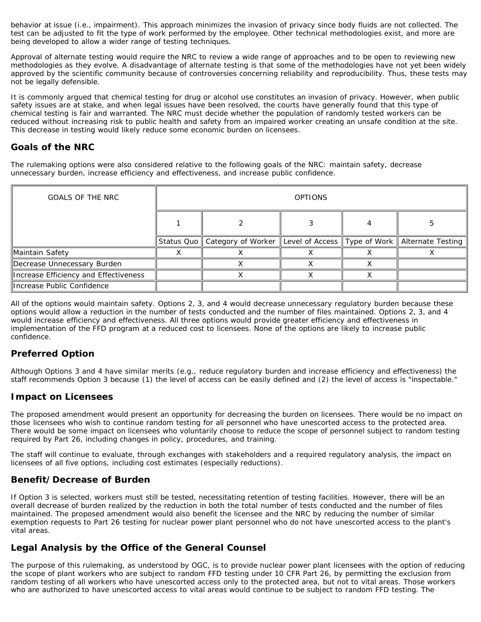behavior at issue (i.e., impairment). This approach minimizes the invasion of privacy since body fluids are not collected. The test can be adjusted to fit the type of work performed by the employee. Other technical methodologies exist, and more are being developed to allow a wider range of testing techniques.

Approval of alternate testing would require the NRC to review a wide range of approaches and to be open to reviewing new methodologies as they evolve. A disadvantage of alternate testing is that some of the methodologies have not yet been widely approved by the scientific community because of controversies concerning reliability and reproducibility. Thus, these tests may not be legally defensible.

It is commonly argued that chemical testing for drug or alcohol use constitutes an invasion of privacy. However, when public safety issues are at stake, and when legal issues have been resolved, the courts have generally found that this type of chemical testing is fair and warranted. The NRC must decide whether the population of randomly tested workers can be reduced without increasing risk to public health and safety from an impaired worker creating an unsafe condition at the site. This decrease in testing would likely reduce some economic burden on licensees.

# <span id="page-5-0"></span>**Goals of the NRC**

The rulemaking options were also considered relative to the following goals of the NRC: maintain safety, decrease unnecessary burden, increase efficiency and effectiveness, and increase public confidence.

| <b>GOALS OF THE NRC</b>               | <b>OPTIONS</b> |                                                                                          |  |  |  |
|---------------------------------------|----------------|------------------------------------------------------------------------------------------|--|--|--|
|                                       |                |                                                                                          |  |  |  |
|                                       |                | Status Quo    Category of Worker    Level of Access    Type of Work    Alternate Testing |  |  |  |
| Maintain Safety                       |                |                                                                                          |  |  |  |
| Decrease Unnecessary Burden           |                |                                                                                          |  |  |  |
| Increase Efficiency and Effectiveness |                |                                                                                          |  |  |  |
| llncrease Public Confidence           |                |                                                                                          |  |  |  |

All of the options would maintain safety. Options 2, 3, and 4 would decrease unnecessary regulatory burden because these options would allow a reduction in the number of tests conducted and the number of files maintained. Options 2, 3, and 4 would increase efficiency and effectiveness. All three options would provide greater efficiency and effectiveness in implementation of the FFD program at a reduced cost to licensees. None of the options are likely to increase public confidence.

## <span id="page-5-1"></span>**Preferred Option**

Although Options 3 and 4 have similar merits (e.g., reduce regulatory burden and increase efficiency and effectiveness) the staff recommends Option 3 because (1) the level of access can be easily defined and (2) the level of access is "inspectable."

## <span id="page-5-2"></span>**Impact on Licensees**

The proposed amendment would present an opportunity for decreasing the burden on licensees. There would be no impact on those licensees who wish to continue random testing for all personnel who have unescorted access to the protected area. There would be some impact on licensees who voluntarily choose to reduce the scope of personnel subject to random testing required by Part 26, including changes in policy, procedures, and training.

The staff will continue to evaluate, through exchanges with stakeholders and a required regulatory analysis, the impact on licensees of all five options, including cost estimates (especially reductions).

## <span id="page-5-3"></span>**Benefit/Decrease of Burden**

If Option 3 is selected, workers must still be tested, necessitating retention of testing facilities. However, there will be an overall decrease of burden realized by the reduction in both the total number of tests conducted and the number of files maintained. The proposed amendment would also benefit the licensee and the NRC by reducing the number of similar exemption requests to Part 26 testing for nuclear power plant personnel who do not have unescorted access to the plant's vital areas.

## <span id="page-5-4"></span>**Legal Analysis by the Office of the General Counsel**

The purpose of this rulemaking, as understood by OGC, is to provide nuclear power plant licensees with the option of reducing the scope of plant workers who are subject to random FFD testing under 10 CFR Part 26, by permitting the exclusion from random testing of all workers who have unescorted access only to the protected area, but not to vital areas. Those workers who are authorized to have unescorted access to vital areas would continue to be subject to random FFD testing. The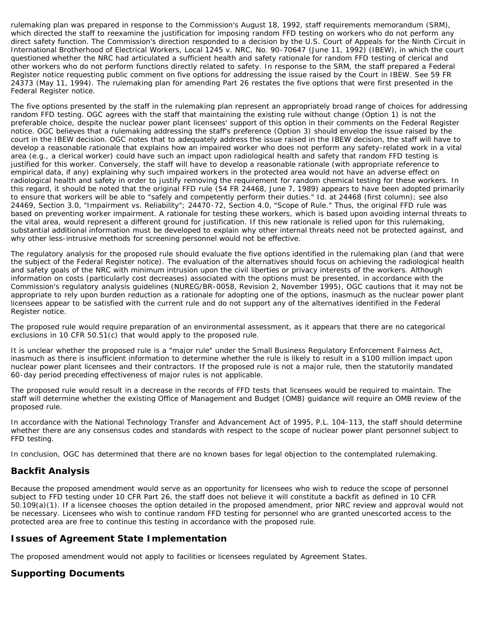rulemaking plan was prepared in response to the Commission's August 18, 1992, staff requirements memorandum (SRM), which directed the staff to reexamine the justification for imposing random FFD testing on workers who do not perform any direct safety function. The Commission's direction responded to a decision by the U.S. Court of Appeals for the Ninth Circuit in International Brotherhood of Electrical Workers, Local 1245 v. NRC, No. 90-70647 (June 11, 1992) (IBEW), in which the court questioned whether the NRC had articulated a sufficient health and safety rationale for random FFD testing of clerical and other workers who do not perform functions directly related to safety. In response to the SRM, the staff prepared a Federal Register notice requesting public comment on five options for addressing the issue raised by the Court in IBEW. See 59 FR 24373 (May 11, 1994). The rulemaking plan for amending Part 26 restates the five options that were first presented in the Federal Register notice.

The five options presented by the staff in the rulemaking plan represent an appropriately broad range of choices for addressing random FFD testing. OGC agrees with the staff that maintaining the existing rule without change (Option 1) is not the preferable choice, despite the nuclear power plant licensees' support of this option in their comments on the Federal Register notice. OGC believes that a rulemaking addressing the staff's preference (Option 3) should envelop the issue raised by the court in the IBEW decision. OGC notes that to adequately address the issue raised in the IBEW decision, the staff will have to develop a reasonable rationale that explains how an impaired worker who does not perform any safety-related work in a vital area (e.g., a clerical worker) could have such an impact upon radiological health and safety that random FFD testing is justified for this worker. Conversely, the staff will have to develop a reasonable rationale (with appropriate reference to empirical data, if any) explaining why such impaired workers in the protected area would not have an adverse effect on radiological health and safety in order to justify removing the requirement for random chemical testing for these workers. In this regard, it should be noted that the original FFD rule (54 FR 24468, June 7, 1989) appears to have been adopted primarily to ensure that workers will be able to "safely and competently perform their duties." Id. at 24468 (first column); see also 24469, Section 3.0, "Impairment vs. Reliability"; 24470-72, Section 4.0, "Scope of Rule." Thus, the original FFD rule was based on preventing worker impairment. A rationale for testing these workers, which is based upon avoiding internal threats to the vital area, would represent a different ground for justification. If this new rationale is relied upon for this rulemaking, substantial additional information must be developed to explain why other internal threats need not be protected against, and why other less-intrusive methods for screening personnel would not be effective.

The regulatory analysis for the proposed rule should evaluate the five options identified in the rulemaking plan (and that were the subject of the Federal Register notice). The evaluation of the alternatives should focus on achieving the radiological health and safety goals of the NRC with minimum intrusion upon the civil liberties or privacy interests of the workers. Although information on costs (particularly cost decreases) associated with the options must be presented, in accordance with the Commission's regulatory analysis guidelines (NUREG/BR-0058, Revision 2, November 1995), OGC cautions that it may not be appropriate to rely upon burden reduction as a rationale for adopting one of the options, inasmuch as the nuclear power plant licensees appear to be satisfied with the current rule and do not support any of the alternatives identified in the Federal Register notice.

The proposed rule would require preparation of an environmental assessment, as it appears that there are no categorical exclusions in 10 CFR 50.51(c) that would apply to the proposed rule.

It is unclear whether the proposed rule is a "major rule" under the Small Business Regulatory Enforcement Fairness Act, inasmuch as there is insufficient information to determine whether the rule is likely to result in a \$100 million impact upon nuclear power plant licensees and their contractors. If the proposed rule is not a major rule, then the statutorily mandated 60-day period preceding effectiveness of major rules is not applicable.

The proposed rule would result in a decrease in the records of FFD tests that licensees would be required to maintain. The staff will determine whether the existing Office of Management and Budget (OMB) guidance will require an OMB review of the proposed rule.

In accordance with the National Technology Transfer and Advancement Act of 1995, P.L. 104-113, the staff should determine whether there are any consensus codes and standards with respect to the scope of nuclear power plant personnel subject to FFD testing.

In conclusion, OGC has determined that there are no known bases for legal objection to the contemplated rulemaking.

## <span id="page-6-0"></span>**Backfit Analysis**

Because the proposed amendment would serve as an opportunity for licensees who wish to reduce the scope of personnel subject to FFD testing under 10 CFR Part 26, the staff does not believe it will constitute a backfit as defined in 10 CFR 50.109(a)(1). If a licensee chooses the option detailed in the proposed amendment, prior NRC review and approval would not be necessary. Licensees who wish to continue random FFD testing for personnel who are granted unescorted access to the protected area are free to continue this testing in accordance with the proposed rule.

#### <span id="page-6-1"></span>**Issues of Agreement State Implementation**

The proposed amendment would not apply to facilities or licensees regulated by Agreement States.

#### <span id="page-6-2"></span>**Supporting Documents**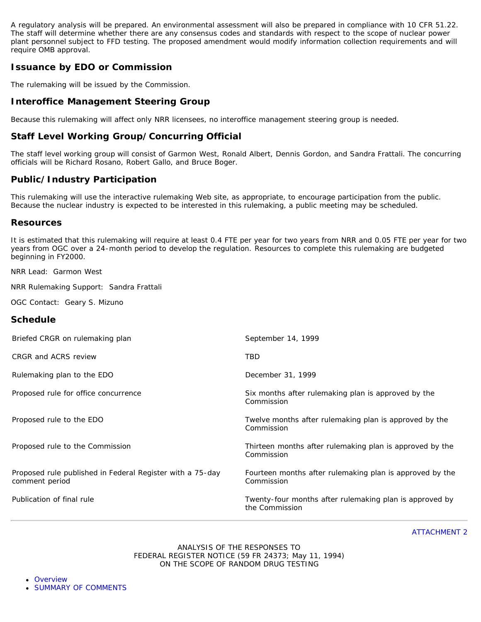A regulatory analysis will be prepared. An environmental assessment will also be prepared in compliance with 10 CFR 51.22. The staff will determine whether there are any consensus codes and standards with respect to the scope of nuclear power plant personnel subject to FFD testing. The proposed amendment would modify information collection requirements and will require OMB approval.

# <span id="page-7-0"></span>**Issuance by EDO or Commission**

The rulemaking will be issued by the Commission.

## <span id="page-7-1"></span>**Interoffice Management Steering Group**

Because this rulemaking will affect only NRR licensees, no interoffice management steering group is needed.

# <span id="page-7-2"></span>**Staff Level Working Group/Concurring Official**

The staff level working group will consist of Garmon West, Ronald Albert, Dennis Gordon, and Sandra Frattali. The concurring officials will be Richard Rosano, Robert Gallo, and Bruce Boger.

## <span id="page-7-3"></span>**Public/Industry Participation**

This rulemaking will use the interactive rulemaking Web site, as appropriate, to encourage participation from the public. Because the nuclear industry is expected to be interested in this rulemaking, a public meeting may be scheduled.

#### <span id="page-7-4"></span>**Resources**

It is estimated that this rulemaking will require at least 0.4 FTE per year for two years from NRR and 0.05 FTE per year for two years from OGC over a 24-month period to develop the regulation. Resources to complete this rulemaking are budgeted beginning in FY2000.

NRR Lead: Garmon West

NRR Rulemaking Support: Sandra Frattali

OGC Contact: Geary S. Mizuno

#### <span id="page-7-5"></span>**Schedule**

| Briefed CRGR on rulemaking plan                                             | September 14, 1999                                                        |
|-----------------------------------------------------------------------------|---------------------------------------------------------------------------|
| CRGR and ACRS review                                                        | <b>TBD</b>                                                                |
| Rulemaking plan to the EDO                                                  | December 31, 1999                                                         |
| Proposed rule for office concurrence                                        | Six months after rulemaking plan is approved by the<br>Commission         |
| Proposed rule to the EDO                                                    | Twelve months after rulemaking plan is approved by the<br>Commission      |
| Proposed rule to the Commission                                             | Thirteen months after rulemaking plan is approved by the<br>Commission    |
| Proposed rule published in Federal Register with a 75-day<br>comment period | Fourteen months after rulemaking plan is approved by the<br>Commission    |
| Publication of final rule                                                   | Twenty-four months after rulemaking plan is approved by<br>the Commission |

ATTACHMENT 2

#### ANALYSIS OF THE RESPONSES TO FEDERAL REGISTER NOTICE (59 FR 24373; May 11, 1994) ON THE SCOPE OF RANDOM DRUG TESTING

- <span id="page-7-6"></span>**[Overview](#page-8-0)**
- [SUMMARY OF COMMENTS](#page-9-0)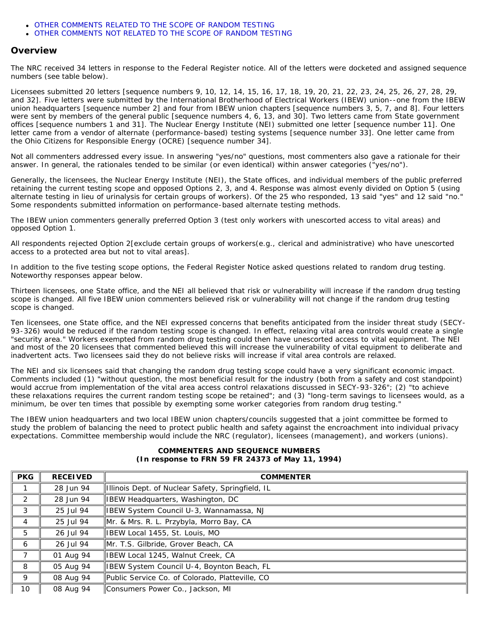- *[OTHER COMMENTS RELATED TO THE SCOPE OF RANDOM TESTING](#page-12-0)*
- *[OTHER COMMENTS NOT RELATED TO THE SCOPE OF RANDOM TESTING](#page-13-0)*

#### <span id="page-8-0"></span>**Overview**

The NRC received 34 letters in response to the Federal Register notice. All of the letters were docketed and assigned sequence numbers (see table below).

Licensees submitted 20 letters [sequence numbers 9, 10, 12, 14, 15, 16, 17, 18, 19, 20, 21, 22, 23, 24, 25, 26, 27, 28, 29, and 32]. Five letters were submitted by the International Brotherhood of Electrical Workers (IBEW) union--one from the IBEW union headquarters [sequence number 2] and four from IBEW union chapters [sequence numbers 3, 5, 7, and 8]. Four letters were sent by members of the general public [sequence numbers 4, 6, 13, and 30]. Two letters came from State government offices [sequence numbers 1 and 31]. The Nuclear Energy Institute (NEI) submitted one letter [sequence number 11]. One letter came from a vendor of alternate (performance-based) testing systems [sequence number 33]. One letter came from the Ohio Citizens for Responsible Energy (OCRE) [sequence number 34].

Not all commenters addressed every issue. In answering "yes/no" questions, most commenters also gave a rationale for their answer. In general, the rationales tended to be similar (or even identical) within answer categories ("yes/no").

Generally, the licensees, the Nuclear Energy Institute (NEI), the State offices, and individual members of the public preferred retaining the current testing scope and opposed Options 2, 3, and 4. Response was almost evenly divided on Option 5 (using alternate testing in lieu of urinalysis for certain groups of workers). Of the 25 who responded, 13 said "yes" and 12 said "no." Some respondents submitted information on performance-based alternate testing methods.

The IBEW union commenters generally preferred Option 3 (test only workers with unescorted access to vital areas) and opposed Option 1.

All respondents rejected Option 2[exclude certain groups of workers(e.g., clerical and administrative) who have unescorted access to a protected area but not to vital areas].

In addition to the five testing scope options, the Federal Register Notice asked questions related to random drug testing. Noteworthy responses appear below.

Thirteen licensees, one State office, and the NEI all believed that risk or vulnerability will increase if the random drug testing scope is changed. All five IBEW union commenters believed risk or vulnerability will not change if the random drug testing scope is changed.

Ten licensees, one State office, and the NEI expressed concerns that benefits anticipated from the insider threat study (SECY-93-326) would be reduced if the random testing scope is changed. In effect, relaxing vital area controls would create a single "security area." Workers exempted from random drug testing could then have unescorted access to vital equipment. The NEI and most of the 20 licensees that commented believed this will increase the vulnerability of vital equipment to deliberate and inadvertent acts. Two licensees said they do not believe risks will increase if vital area controls are relaxed.

The NEI and six licensees said that changing the random drug testing scope could have a very significant economic impact. Comments included (1) "without question, the most beneficial result for the industry (both from a safety and cost standpoint) would accrue from implementation of the vital area access control relaxations discussed in SECY-93-326"; (2) "to achieve these relaxations requires the current random testing scope be retained"; and (3) "long-term savings to licensees would, as a minimum, be over ten times that possible by exempting some worker categories from random drug testing."

The IBEW union headquarters and two local IBEW union chapters/councils suggested that a joint committee be formed to study the problem of balancing the need to protect public health and safety against the encroachment into individual privacy expectations. Committee membership would include the NRC (regulator), licensees (management), and workers (unions).

#### **COMMENTERS AND SEQUENCE NUMBERS (In response to FRN 59 FR 24373 of May 11, 1994)**

| <b>PKG</b>      | <b>RECEIVED</b> | <b>COMMENTER</b>                                  |
|-----------------|-----------------|---------------------------------------------------|
|                 | 28 Jun 94       | Illinois Dept. of Nuclear Safety, Springfield, IL |
| 2               | 28 Jun 94       | IBEW Headquarters, Washington, DC                 |
| 3               | 25 Jul 94       | IBEW System Council U-3, Wannamassa, NJ           |
| $\overline{4}$  | 25 Jul 94       | Mr. & Mrs. R. L. Przybyla, Morro Bay, CA          |
| 5               | 26 Jul 94       | IBEW Local 1455, St. Louis, MO                    |
| 6               | 26 Jul 94       | Mr. T.S. Gilbride, Grover Beach, CA               |
|                 | 01 Aug 94       | IBEW Local 1245, Walnut Creek, CA                 |
| 8               | 05 Aug 94       | IBEW System Council U-4, Boynton Beach, FL        |
| 9               | 08 Aug 94       | Public Service Co. of Colorado, Platteville, CO   |
| 10 <sup>°</sup> | 08 Aug 94       | Consumers Power Co., Jackson, MI                  |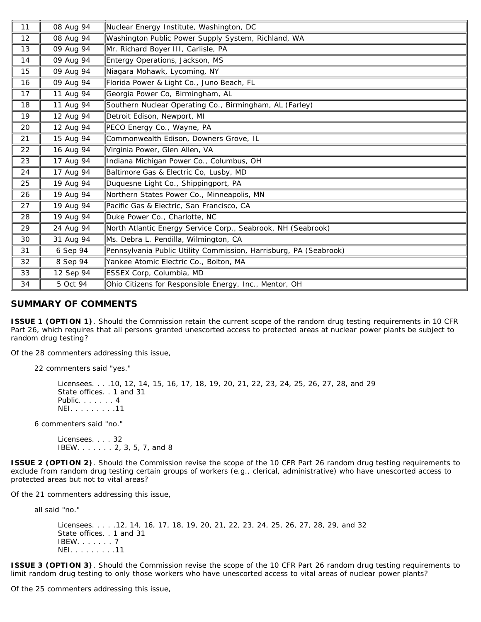| 11 | 08 Aug 94 | Nuclear Energy Institute, Washington, DC                          |
|----|-----------|-------------------------------------------------------------------|
| 12 | 08 Aug 94 | Washington Public Power Supply System, Richland, WA               |
| 13 | 09 Aug 94 | Mr. Richard Boyer III, Carlisle, PA                               |
| 14 | 09 Aug 94 | Entergy Operations, Jackson, MS                                   |
| 15 | 09 Aug 94 | Niagara Mohawk, Lycoming, NY                                      |
| 16 | 09 Aug 94 | Florida Power & Light Co., Juno Beach, FL                         |
| 17 | 11 Aug 94 | Georgia Power Co, Birmingham, AL                                  |
| 18 | 11 Aug 94 | Southern Nuclear Operating Co., Birmingham, AL (Farley)           |
| 19 | 12 Aug 94 | Detroit Edison, Newport, MI                                       |
| 20 | 12 Aug 94 | PECO Energy Co., Wayne, PA                                        |
| 21 | 15 Aug 94 | Commonwealth Edison, Downers Grove, IL                            |
| 22 | 16 Aug 94 | Virginia Power, Glen Allen, VA                                    |
| 23 | 17 Aug 94 | Indiana Michigan Power Co., Columbus, OH                          |
| 24 | 17 Aug 94 | Baltimore Gas & Electric Co, Lusby, MD                            |
| 25 | 19 Aug 94 | Duquesne Light Co., Shippingport, PA                              |
| 26 | 19 Aug 94 | Northern States Power Co., Minneapolis, MN                        |
| 27 | 19 Aug 94 | Pacific Gas & Electric, San Francisco, CA                         |
| 28 | 19 Aug 94 | Duke Power Co., Charlotte, NC                                     |
| 29 | 24 Aug 94 | North Atlantic Energy Service Corp., Seabrook, NH (Seabrook)      |
| 30 | 31 Aug 94 | Ms. Debra L. Pendilla, Wilmington, CA                             |
| 31 | 6 Sep 94  | Pennsylvania Public Utility Commission, Harrisburg, PA (Seabrook) |
| 32 | 8 Sep 94  | Yankee Atomic Electric Co., Bolton, MA                            |
| 33 | 12 Sep 94 | ESSEX Corp, Columbia, MD                                          |
| 34 | 5 Oct 94  | Ohio Citizens for Responsible Energy, Inc., Mentor, OH            |

## <span id="page-9-0"></span>**SUMMARY OF COMMENTS**

*ISSUE 1 (OPTION 1). Should the Commission retain the current scope of the random drug testing requirements in 10 CFR Part 26, which requires that all persons granted unescorted access to protected areas at nuclear power plants be subject to random drug testing?*

Of the 28 commenters addressing this issue,

22 commenters said "yes."

Licensees. . . .10, 12, 14, 15, 16, 17, 18, 19, 20, 21, 22, 23, 24, 25, 26, 27, 28, and 29 State offices. . 1 and 31 Public. . . . . . . 4 NEI. . . . . . . . .11

6 commenters said "no."

Licensees. . . . 32 IBEW. . . . . . . 2, 3, 5, 7, and 8

*ISSUE 2 (OPTION 2). Should the Commission revise the scope of the 10 CFR Part 26 random drug testing requirements to exclude from random drug testing certain groups of workers (e.g., clerical, administrative) who have unescorted access to protected areas but not to vital areas?*

Of the 21 commenters addressing this issue,

all said "no."

Licensees. . . . .12, 14, 16, 17, 18, 19, 20, 21, 22, 23, 24, 25, 26, 27, 28, 29, and 32 State offices. . 1 and 31 IBEW. . . . . . . 7 NEI. . . . . . . . .11

*ISSUE 3 (OPTION 3). Should the Commission revise the scope of the 10 CFR Part 26 random drug testing requirements to limit random drug testing to only those workers who have unescorted access to vital areas of nuclear power plants?*

Of the 25 commenters addressing this issue,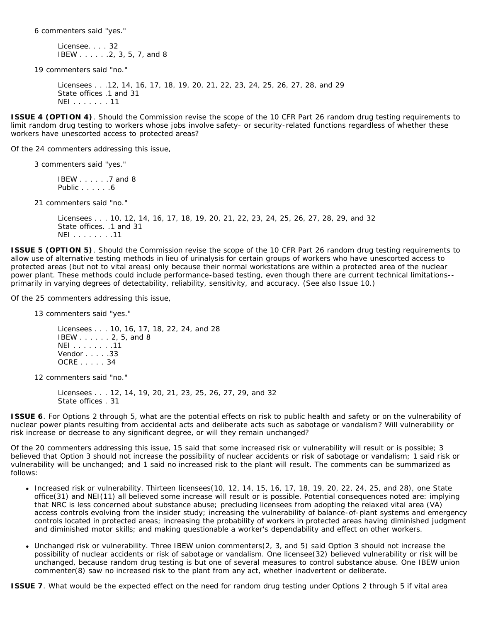6 commenters said "yes."

Licensee. . . . 32 IBEW . . . . . .2, 3, 5, 7, and 8

19 commenters said "no."

Licensees . . .12, 14, 16, 17, 18, 19, 20, 21, 22, 23, 24, 25, 26, 27, 28, and 29 State offices .1 and 31 NEI . . . . . . . 11

*ISSUE 4 (OPTION 4). Should the Commission revise the scope of the 10 CFR Part 26 random drug testing requirements to limit random drug testing to workers whose jobs involve safety- or security-related functions regardless of whether these workers have unescorted access to protected areas?*

Of the 24 commenters addressing this issue,

3 commenters said "yes."

IBEW . . . . . .7 and 8 Public . . . . . .6

21 commenters said "no."

Licensees . . . 10, 12, 14, 16, 17, 18, 19, 20, 21, 22, 23, 24, 25, 26, 27, 28, 29, and 32 State offices. .1 and 31 NEI . . . . . . . .11

*ISSUE 5 (OPTION 5). Should the Commission revise the scope of the 10 CFR Part 26 random drug testing requirements to allow use of alternative testing methods in lieu of urinalysis for certain groups of workers who have unescorted access to protected areas (but not to vital areas) only because their normal workstations are within a protected area of the nuclear power plant. These methods could include performance-based testing, even though there are current technical limitations- primarily in varying degrees of detectability, reliability, sensitivity, and accuracy. (See also Issue 10.)*

Of the 25 commenters addressing this issue,

13 commenters said "yes."

Licensees . . . 10, 16, 17, 18, 22, 24, and 28 IBEW . . . . . . 2, 5, and 8 NEI . . . . . . . .11 Vendor . . . . .33 OCRE . . . . . 34

12 commenters said "no."

Licensees . . . 12, 14, 19, 20, 21, 23, 25, 26, 27, 29, and 32 State offices . 31

*ISSUE 6. For Options 2 through 5, what are the potential effects on risk to public health and safety or on the vulnerability of nuclear power plants resulting from accidental acts and deliberate acts such as sabotage or vandalism? Will vulnerability or risk increase or decrease to any significant degree, or will they remain unchanged?*

Of the 20 commenters addressing this issue, 15 said that some increased risk or vulnerability will result or is possible; 3 believed that Option 3 should not increase the possibility of nuclear accidents or risk of sabotage or vandalism; 1 said risk or vulnerability will be unchanged; and 1 said no increased risk to the plant will result. The comments can be summarized as follows:

- $\bullet$  Increased risk or vulnerability. Thirteen licensees(10, 12, 14, 15, 16, 17, 18, 19, 20, 22, 24, 25, and 28), one State office(31) and NEI(11) all believed some increase will result or is possible. Potential consequences noted are: implying that NRC is less concerned about substance abuse; precluding licensees from adopting the relaxed vital area (VA) access controls evolving from the insider study; increasing the vulnerability of balance-of-plant systems and emergency controls located in protected areas; increasing the probability of workers in protected areas having diminished judgment and diminished motor skills; and making questionable a worker's dependability and effect on other workers.
- Unchanged risk or vulnerability. Three IBEW union commenters(2, 3, and 5) said Option 3 should not increase the  $\bullet$ possibility of nuclear accidents or risk of sabotage or vandalism. One licensee(32) believed vulnerability or risk will be unchanged, because random drug testing is but one of several measures to control substance abuse. One IBEW union commenter(8) saw no increased risk to the plant from any act, whether inadvertent or deliberate.

*ISSUE 7. What would be the expected effect on the need for random drug testing under Options 2 through 5 if vital area*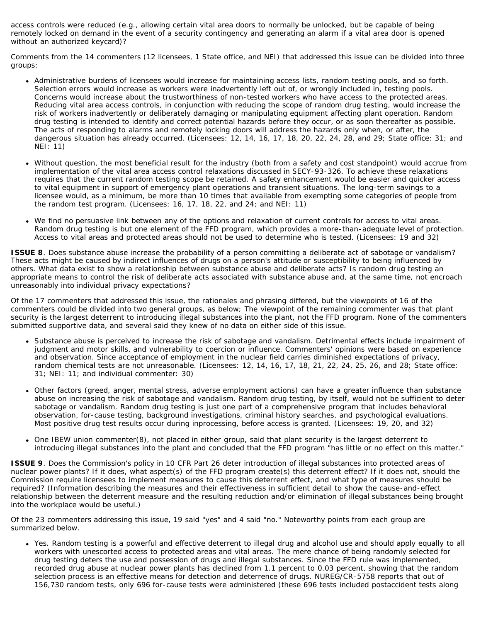*access controls were reduced (e.g., allowing certain vital area doors to normally be unlocked, but be capable of being remotely locked on demand in the event of a security contingency and generating an alarm if a vital area door is opened without an authorized keycard)?*

Comments from the 14 commenters (12 licensees, 1 State office, and NEI) that addressed this issue can be divided into three groups:

- Administrative burdens of licensees would increase for maintaining access lists, random testing pools, and so forth. Selection errors would increase as workers were inadvertently left out of, or wrongly included in, testing pools. Concerns would increase about the trustworthiness of non-tested workers who have access to the protected areas. Reducing vital area access controls, in conjunction with reducing the scope of random drug testing, would increase the risk of workers inadvertently or deliberately damaging or manipulating equipment affecting plant operation. Random drug testing is intended to identify and correct potential hazards before they occur, or as soon thereafter as possible. The acts of responding to alarms and remotely locking doors will address the hazards only when, or after, the dangerous situation has already occurred. (Licensees: 12, 14, 16, 17, 18, 20, 22, 24, 28, and 29; State office: 31; and NEI: 11)
- Without question, the most beneficial result for the industry (both from a safety and cost standpoint) would accrue from implementation of the vital area access control relaxations discussed in SECY-93-326. To achieve these relaxations requires that the current random testing scope be retained. A safety enhancement would be easier and quicker access to vital equipment in support of emergency plant operations and transient situations. The long-term savings to a licensee would, as a minimum, be more than 10 times that available from exempting some categories of people from the random test program. (Licensees: 16, 17, 18, 22, and 24; and NEI: 11)
- We find no persuasive link between any of the options and relaxation of current controls for access to vital areas. Random drug testing is but one element of the FFD program, which provides a more-than-adequate level of protection. Access to vital areas and protected areas should not be used to determine who is tested. (Licensees: 19 and 32)

*ISSUE 8. Does substance abuse increase the probability of a person committing a deliberate act of sabotage or vandalism? These acts might be caused by indirect influences of drugs on a person's attitude or susceptibility to being influenced by others. What data exist to show a relationship between substance abuse and deliberate acts? Is random drug testing an appropriate means to control the risk of deliberate acts associated with substance abuse and, at the same time, not encroach unreasonably into individual privacy expectations?*

Of the 17 commenters that addressed this issue, the rationales and phrasing differed, but the viewpoints of 16 of the commenters could be divided into two general groups, as below; The viewpoint of the remaining commenter was that plant security is the largest deterrent to introducing illegal substances into the plant, not the FFD program. None of the commenters submitted supportive data, and several said they knew of no data on either side of this issue.

- Substance abuse is perceived to increase the risk of sabotage and vandalism. Detrimental effects include impairment of judgment and motor skills, and vulnerability to coercion or influence. Commenters' opinions were based on experience and observation. Since acceptance of employment in the nuclear field carries diminished expectations of privacy, random chemical tests are not unreasonable. (Licensees: 12, 14, 16, 17, 18, 21, 22, 24, 25, 26, and 28; State office: 31; NEI: 11; and individual commenter: 30)
- Other factors (greed, anger, mental stress, adverse employment actions) can have a greater influence than substance abuse on increasing the risk of sabotage and vandalism. Random drug testing, by itself, would not be sufficient to deter sabotage or vandalism. Random drug testing is just one part of a comprehensive program that includes behavioral observation, for-cause testing, background investigations, criminal history searches, and psychological evaluations. Most positive drug test results occur during inprocessing, before access is granted. (Licensees: 19, 20, and 32)
- One IBEW union commenter(8), not placed in either group, said that plant security is the largest deterrent to introducing illegal substances into the plant and concluded that the FFD program "has little or no effect on this matter."

*ISSUE 9. Does the Commission's policy in 10 CFR Part 26 deter introduction of illegal substances into protected areas of nuclear power plants? If it does, what aspect(s) of the FFD program create(s) this deterrent effect? If it does not, should the Commission require licensees to implement measures to cause this deterrent effect, and what type of measures should be required? (Information describing the measures and their effectiveness in sufficient detail to show the cause-and-effect relationship between the deterrent measure and the resulting reduction and/or elimination of illegal substances being brought into the workplace would be useful.)*

Of the 23 commenters addressing this issue, 19 said "yes" and 4 said "no." Noteworthy points from each group are summarized below.

Yes. Random testing is a powerful and effective deterrent to illegal drug and alcohol use and should apply equally to all workers with unescorted access to protected areas and vital areas. The mere chance of being randomly selected for drug testing deters the use and possession of drugs and illegal substances. Since the FFD rule was implemented, recorded drug abuse at nuclear power plants has declined from 1.1 percent to 0.03 percent, showing that the random selection process is an effective means for detection and deterrence of drugs. NUREG/CR-5758 reports that out of 156,730 random tests, only 696 for-cause tests were administered (these 696 tests included postaccident tests along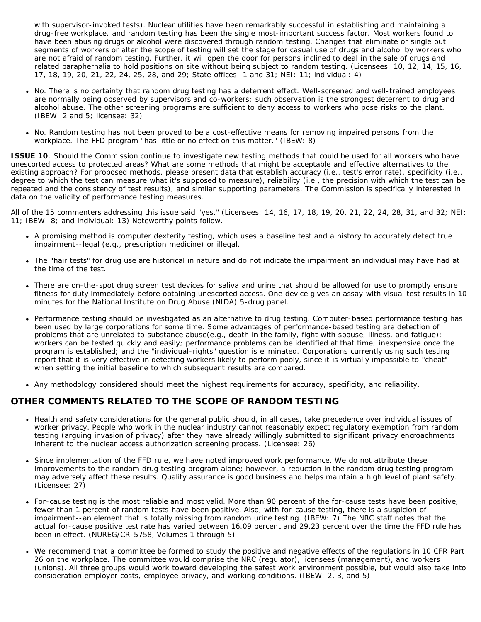with supervisor-invoked tests). Nuclear utilities have been remarkably successful in establishing and maintaining a drug-free workplace, and random testing has been the single most-important success factor. Most workers found to have been abusing drugs or alcohol were discovered through random testing. Changes that eliminate or single out segments of workers or alter the scope of testing will set the stage for casual use of drugs and alcohol by workers who are not afraid of random testing. Further, it will open the door for persons inclined to deal in the sale of drugs and related paraphernalia to hold positions on site without being subject to random testing. (Licensees: 10, 12, 14, 15, 16, 17, 18, 19, 20, 21, 22, 24, 25, 28, and 29; State offices: 1 and 31; NEI: 11; individual: 4)

- No. There is no certainty that random drug testing has a deterrent effect. Well-screened and well-trained employees are normally being observed by supervisors and co-workers; such observation is the strongest deterrent to drug and alcohol abuse. The other screening programs are sufficient to deny access to workers who pose risks to the plant. (IBEW: 2 and 5; licensee: 32)
- No. Random testing has not been proved to be a cost-effective means for removing impaired persons from the workplace. The FFD program "has little or no effect on this matter." (IBEW: 8)

*ISSUE 10. Should the Commission continue to investigate new testing methods that could be used for all workers who have unescorted access to protected areas? What are some methods that might be acceptable and effective alternatives to the existing approach? For proposed methods, please present data that establish accuracy (i.e., test's error rate), specificity (i.e., degree to which the test can measure what it's supposed to measure), reliability (i.e., the precision with which the test can be repeated and the consistency of test results), and similar supporting parameters. The Commission is specifically interested in data on the validity of performance testing measures.*

All of the 15 commenters addressing this issue said "yes." (Licensees: 14, 16, 17, 18, 19, 20, 21, 22, 24, 28, 31, and 32; NEI: 11; IBEW: 8; and individual: 13) Noteworthy points follow.

- A promising method is computer dexterity testing, which uses a baseline test and a history to accurately detect true impairment--legal (e.g., prescription medicine) or illegal.
- The "hair tests" for drug use are historical in nature and do not indicate the impairment an individual may have had at the time of the test.
- There are on-the-spot drug screen test devices for saliva and urine that should be allowed for use to promptly ensure fitness for duty immediately before obtaining unescorted access. One device gives an assay with visual test results in 10 minutes for the National Institute on Drug Abuse (NIDA) 5-drug panel.
- Performance testing should be investigated as an alternative to drug testing. Computer-based performance testing has been used by large corporations for some time. Some advantages of performance-based testing are detection of problems that are unrelated to substance abuse(e.g., death in the family, fight with spouse, illness, and fatigue); workers can be tested quickly and easily; performance problems can be identified at that time; inexpensive once the program is established; and the "individual-rights" question is eliminated. Corporations currently using such testing report that it is very effective in detecting workers likely to perform pooly, since it is virtually impossible to "cheat" when setting the initial baseline to which subsequent results are compared.
- Any methodology considered should meet the highest requirements for accuracy, specificity, and reliability.

#### <span id="page-12-0"></span>*OTHER COMMENTS RELATED TO THE SCOPE OF RANDOM TESTING*

- Health and safety considerations for the general public should, in all cases, take precedence over individual issues of worker privacy. People who work in the nuclear industry cannot reasonably expect regulatory exemption from random testing (arguing invasion of privacy) after they have already willingly submitted to significant privacy encroachments inherent to the nuclear access authorization screening process. (Licensee: 26)
- Since implementation of the FFD rule, we have noted improved work performance. We do not attribute these improvements to the random drug testing program alone; however, a reduction in the random drug testing program may adversely affect these results. Quality assurance is good business and helps maintain a high level of plant safety. (Licensee: 27)
- For-cause testing is the most reliable and most valid. More than 90 percent of the for-cause tests have been positive; fewer than 1 percent of random tests have been positive. Also, with for-cause testing, there is a suspicion of impairment--an element that is totally missing from random urine testing. (IBEW: 7) *The NRC staff notes that the actual for-cause positive test rate has varied between 16.09 percent and 29.23 percent over the time the FFD rule has been in effect. (NUREG/CR-5758, Volumes 1 through 5)*
- We recommend that a committee be formed to study the positive and negative effects of the regulations in 10 CFR Part 26 on the workplace. The committee would comprise the NRC (regulator), licensees (management), and workers (unions). All three groups would work toward developing the safest work environment possible, but would also take into consideration employer costs, employee privacy, and working conditions. (IBEW: 2, 3, and 5)